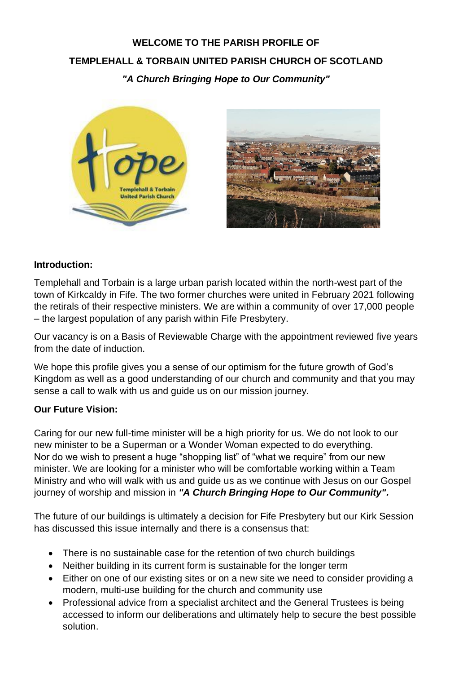## **WELCOME TO THE PARISH PROFILE OF TEMPLEHALL & TORBAIN UNITED PARISH CHURCH OF SCOTLAND** *"A Church Bringing Hope to Our Community"*





#### **Introduction:**

Templehall and Torbain is a large urban parish located within the north-west part of the town of Kirkcaldy in Fife. The two former churches were united in February 2021 following the retirals of their respective ministers. We are within a community of over 17,000 people – the largest population of any parish within Fife Presbytery.

Our vacancy is on a Basis of Reviewable Charge with the appointment reviewed five years from the date of induction.

We hope this profile gives you a sense of our optimism for the future growth of God's Kingdom as well as a good understanding of our church and community and that you may sense a call to walk with us and guide us on our mission journey.

#### **Our Future Vision:**

Caring for our new full-time minister will be a high priority for us. We do not look to our new minister to be a Superman or a Wonder Woman expected to do everything. Nor do we wish to present a huge "shopping list" of "what we require" from our new minister. We are looking for a minister who will be comfortable working within a Team Ministry and who will walk with us and guide us as we continue with Jesus on our Gospel journey of worship and mission in *"A Church Bringing Hope to Our Community".*

The future of our buildings is ultimately a decision for Fife Presbytery but our Kirk Session has discussed this issue internally and there is a consensus that:

- There is no sustainable case for the retention of two church buildings
- Neither building in its current form is sustainable for the longer term
- Either on one of our existing sites or on a new site we need to consider providing a modern, multi-use building for the church and community use
- Professional advice from a specialist architect and the General Trustees is being accessed to inform our deliberations and ultimately help to secure the best possible solution.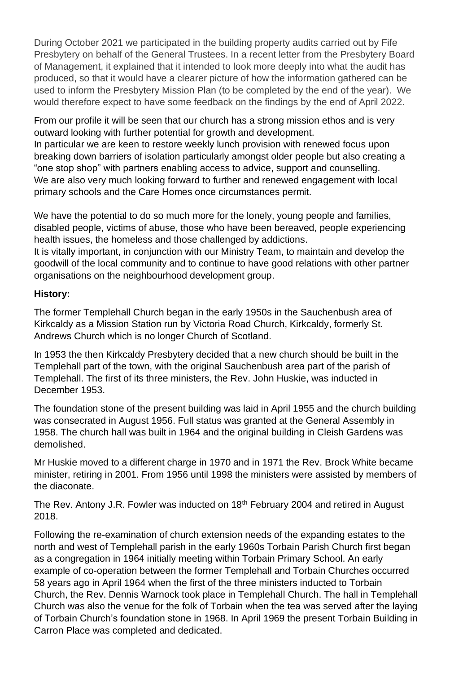During October 2021 we participated in the building property audits carried out by Fife Presbytery on behalf of the General Trustees. In a recent letter from the Presbytery Board of Management, it explained that it intended to look more deeply into what the audit has produced, so that it would have a clearer picture of how the information gathered can be used to inform the Presbytery Mission Plan (to be completed by the end of the year). We would therefore expect to have some feedback on the findings by the end of April 2022.

From our profile it will be seen that our church has a strong mission ethos and is very outward looking with further potential for growth and development.

In particular we are keen to restore weekly lunch provision with renewed focus upon breaking down barriers of isolation particularly amongst older people but also creating a "one stop shop" with partners enabling access to advice, support and counselling. We are also very much looking forward to further and renewed engagement with local primary schools and the Care Homes once circumstances permit.

We have the potential to do so much more for the lonely, young people and families, disabled people, victims of abuse, those who have been bereaved, people experiencing health issues, the homeless and those challenged by addictions.

It is vitally important, in conjunction with our Ministry Team, to maintain and develop the goodwill of the local community and to continue to have good relations with other partner organisations on the neighbourhood development group.

## **History:**

The former Templehall Church began in the early 1950s in the Sauchenbush area of Kirkcaldy as a Mission Station run by Victoria Road Church, Kirkcaldy, formerly St. Andrews Church which is no longer Church of Scotland.

In 1953 the then Kirkcaldy Presbytery decided that a new church should be built in the Templehall part of the town, with the original Sauchenbush area part of the parish of Templehall. The first of its three ministers, the Rev. John Huskie, was inducted in December 1953.

The foundation stone of the present building was laid in April 1955 and the church building was consecrated in August 1956. Full status was granted at the General Assembly in 1958. The church hall was built in 1964 and the original building in Cleish Gardens was demolished.

Mr Huskie moved to a different charge in 1970 and in 1971 the Rev. Brock White became minister, retiring in 2001. From 1956 until 1998 the ministers were assisted by members of the diaconate.

The Rev. Antony J.R. Fowler was inducted on 18<sup>th</sup> February 2004 and retired in August 2018.

Following the re-examination of church extension needs of the expanding estates to the north and west of Templehall parish in the early 1960s Torbain Parish Church first began as a congregation in 1964 initially meeting within Torbain Primary School. An early example of co-operation between the former Templehall and Torbain Churches occurred 58 years ago in April 1964 when the first of the three ministers inducted to Torbain Church, the Rev. Dennis Warnock took place in Templehall Church. The hall in Templehall Church was also the venue for the folk of Torbain when the tea was served after the laying of Torbain Church's foundation stone in 1968. In April 1969 the present Torbain Building in Carron Place was completed and dedicated.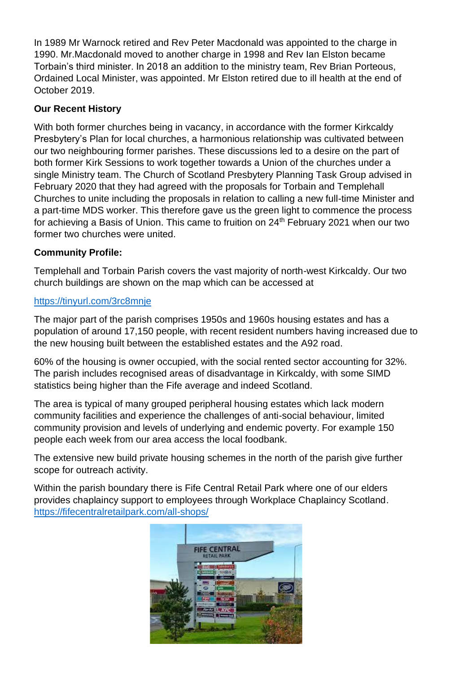In 1989 Mr Warnock retired and Rev Peter Macdonald was appointed to the charge in 1990. Mr.Macdonald moved to another charge in 1998 and Rev Ian Elston became Torbain's third minister. In 2018 an addition to the ministry team, Rev Brian Porteous, Ordained Local Minister, was appointed. Mr Elston retired due to ill health at the end of October 2019.

## **Our Recent History**

With both former churches being in vacancy, in accordance with the former Kirkcaldy Presbytery's Plan for local churches, a harmonious relationship was cultivated between our two neighbouring former parishes. These discussions led to a desire on the part of both former Kirk Sessions to work together towards a Union of the churches under a single Ministry team. The Church of Scotland Presbytery Planning Task Group advised in February 2020 that they had agreed with the proposals for Torbain and Templehall Churches to unite including the proposals in relation to calling a new full-time Minister and a part-time MDS worker. This therefore gave us the green light to commence the process for achieving a Basis of Union. This came to fruition on 24<sup>th</sup> February 2021 when our two former two churches were united.

## **Community Profile:**

Templehall and Torbain Parish covers the vast majority of north-west Kirkcaldy. Our two church buildings are shown on the map which can be accessed at

#### <https://tinyurl.com/3rc8mnje>

The major part of the parish comprises 1950s and 1960s housing estates and has a population of around 17,150 people, with recent resident numbers having increased due to the new housing built between the established estates and the A92 road.

60% of the housing is owner occupied, with the social rented sector accounting for 32%. The parish includes recognised areas of disadvantage in Kirkcaldy, with some SIMD statistics being higher than the Fife average and indeed Scotland.

The area is typical of many grouped peripheral housing estates which lack modern community facilities and experience the challenges of anti-social behaviour, limited community provision and levels of underlying and endemic poverty. For example 150 people each week from our area access the local foodbank.

The extensive new build private housing schemes in the north of the parish give further scope for outreach activity.

Within the parish boundary there is Fife Central Retail Park where one of our elders provides chaplaincy support to employees through Workplace Chaplaincy Scotland. <https://fifecentralretailpark.com/all-shops/>

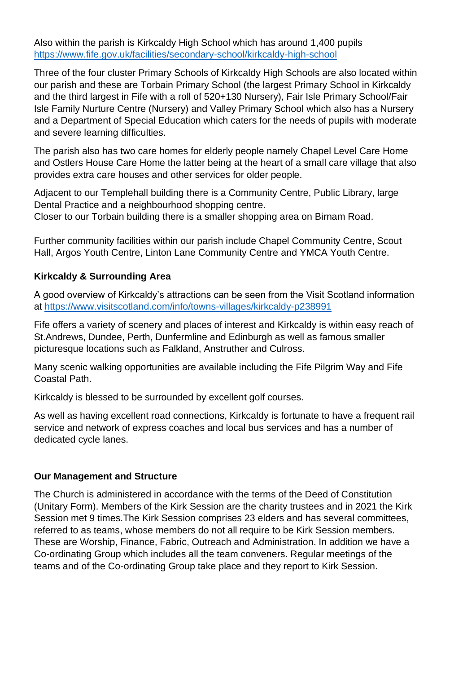Also within the parish is Kirkcaldy High School which has around 1,400 pupils <https://www.fife.gov.uk/facilities/secondary-school/kirkcaldy-high-school>

Three of the four cluster Primary Schools of Kirkcaldy High Schools are also located within our parish and these are Torbain Primary School (the largest Primary School in Kirkcaldy and the third largest in Fife with a roll of 520+130 Nursery), Fair Isle Primary School/Fair Isle Family Nurture Centre (Nursery) and Valley Primary School which also has a Nursery and a Department of Special Education which caters for the needs of pupils with moderate and severe learning difficulties.

The parish also has two care homes for elderly people namely Chapel Level Care Home and Ostlers House Care Home the latter being at the heart of a small care village that also provides extra care houses and other services for older people.

Adjacent to our Templehall building there is a Community Centre, Public Library, large Dental Practice and a neighbourhood shopping centre.

Closer to our Torbain building there is a smaller shopping area on Birnam Road.

Further community facilities within our parish include Chapel Community Centre, Scout Hall, Argos Youth Centre, Linton Lane Community Centre and YMCA Youth Centre.

## **Kirkcaldy & Surrounding Area**

A good overview of Kirkcaldy's attractions can be seen from the Visit Scotland information at<https://www.visitscotland.com/info/towns-villages/kirkcaldy-p238991>

Fife offers a variety of scenery and places of interest and Kirkcaldy is within easy reach of St.Andrews, Dundee, Perth, Dunfermline and Edinburgh as well as famous smaller picturesque locations such as Falkland, Anstruther and Culross.

Many scenic walking opportunities are available including the Fife Pilgrim Way and Fife Coastal Path.

Kirkcaldy is blessed to be surrounded by excellent golf courses.

As well as having excellent road connections, Kirkcaldy is fortunate to have a frequent rail service and network of express coaches and local bus services and has a number of dedicated cycle lanes.

#### **Our Management and Structure**

The Church is administered in accordance with the terms of the Deed of Constitution (Unitary Form). Members of the Kirk Session are the charity trustees and in 2021 the Kirk Session met 9 times.The Kirk Session comprises 23 elders and has several committees, referred to as teams, whose members do not all require to be Kirk Session members. These are Worship, Finance, Fabric, Outreach and Administration. In addition we have a Co-ordinating Group which includes all the team conveners. Regular meetings of the teams and of the Co-ordinating Group take place and they report to Kirk Session.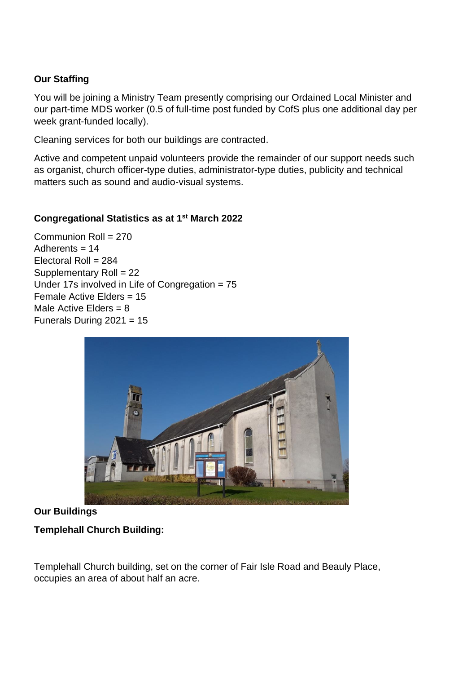## **Our Staffing**

You will be joining a Ministry Team presently comprising our Ordained Local Minister and our part-time MDS worker (0.5 of full-time post funded by CofS plus one additional day per week grant-funded locally).

Cleaning services for both our buildings are contracted.

Active and competent unpaid volunteers provide the remainder of our support needs such as organist, church officer-type duties, administrator-type duties, publicity and technical matters such as sound and audio-visual systems.

#### **Congregational Statistics as at 1st March 2022**

Communion Roll = 270 Adherents = 14 Electoral Roll = 284 Supplementary Roll = 22 Under 17s involved in Life of Congregation = 75 Female Active Elders = 15 Male Active Flders  $= 8$ Funerals During 2021 = 15



#### **Our Buildings**

#### **Templehall Church Building:**

Templehall Church building, set on the corner of Fair Isle Road and Beauly Place, occupies an area of about half an acre.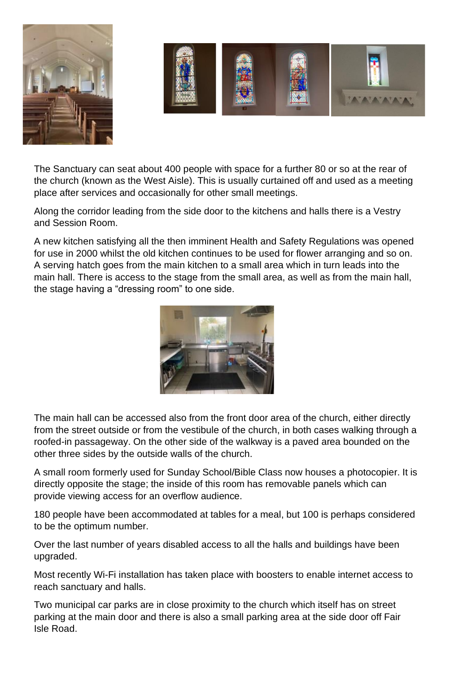



The Sanctuary can seat about 400 people with space for a further 80 or so at the rear of the church (known as the West Aisle). This is usually curtained off and used as a meeting place after services and occasionally for other small meetings.

Along the corridor leading from the side door to the kitchens and halls there is a Vestry and Session Room.

A new kitchen satisfying all the then imminent Health and Safety Regulations was opened for use in 2000 whilst the old kitchen continues to be used for flower arranging and so on. A serving hatch goes from the main kitchen to a small area which in turn leads into the main hall. There is access to the stage from the small area, as well as from the main hall, the stage having a "dressing room" to one side.



The main hall can be accessed also from the front door area of the church, either directly from the street outside or from the vestibule of the church, in both cases walking through a roofed-in passageway. On the other side of the walkway is a paved area bounded on the other three sides by the outside walls of the church.

A small room formerly used for Sunday School/Bible Class now houses a photocopier. It is directly opposite the stage; the inside of this room has removable panels which can provide viewing access for an overflow audience.

180 people have been accommodated at tables for a meal, but 100 is perhaps considered to be the optimum number.

Over the last number of years disabled access to all the halls and buildings have been upgraded.

Most recently Wi-Fi installation has taken place with boosters to enable internet access to reach sanctuary and halls.

Two municipal car parks are in close proximity to the church which itself has on street parking at the main door and there is also a small parking area at the side door off Fair Isle Road.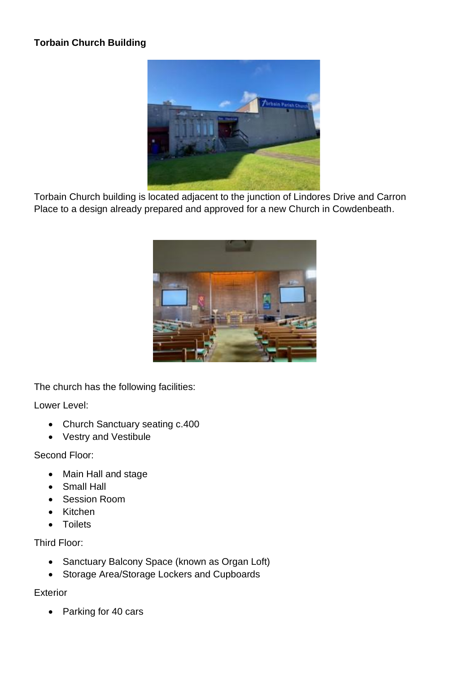## **Torbain Church Building**



Torbain Church building is located adjacent to the junction of Lindores Drive and Carron Place to a design already prepared and approved for a new Church in Cowdenbeath.



The church has the following facilities:

Lower Level:

- Church Sanctuary seating c.400
- Vestry and Vestibule

Second Floor:

- Main Hall and stage
- Small Hall
- Session Room
- Kitchen
- Toilets

Third Floor:

- Sanctuary Balcony Space (known as Organ Loft)
- Storage Area/Storage Lockers and Cupboards

Exterior

• Parking for 40 cars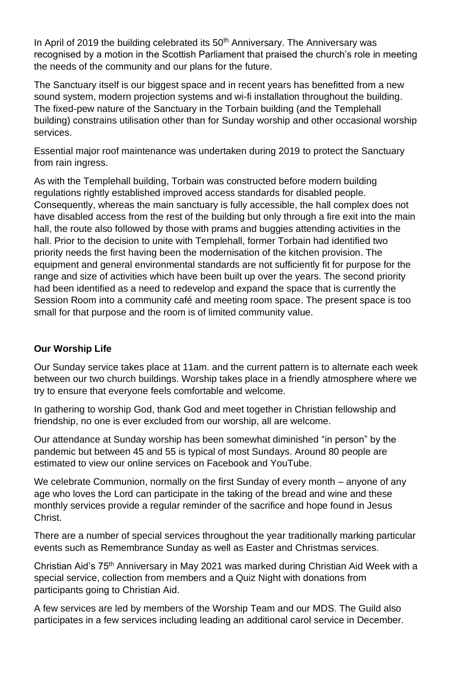In April of 2019 the building celebrated its 50<sup>th</sup> Anniversary. The Anniversary was recognised by a motion in the Scottish Parliament that praised the church's role in meeting the needs of the community and our plans for the future.

The Sanctuary itself is our biggest space and in recent years has benefitted from a new sound system, modern projection systems and wi-fi installation throughout the building. The fixed-pew nature of the Sanctuary in the Torbain building (and the Templehall building) constrains utilisation other than for Sunday worship and other occasional worship services.

Essential major roof maintenance was undertaken during 2019 to protect the Sanctuary from rain ingress.

As with the Templehall building, Torbain was constructed before modern building regulations rightly established improved access standards for disabled people. Consequently, whereas the main sanctuary is fully accessible, the hall complex does not have disabled access from the rest of the building but only through a fire exit into the main hall, the route also followed by those with prams and buggies attending activities in the hall. Prior to the decision to unite with Templehall, former Torbain had identified two priority needs the first having been the modernisation of the kitchen provision. The equipment and general environmental standards are not sufficiently fit for purpose for the range and size of activities which have been built up over the years. The second priority had been identified as a need to redevelop and expand the space that is currently the Session Room into a community café and meeting room space. The present space is too small for that purpose and the room is of limited community value.

#### **Our Worship Life**

Our Sunday service takes place at 11am. and the current pattern is to alternate each week between our two church buildings. Worship takes place in a friendly atmosphere where we try to ensure that everyone feels comfortable and welcome.

In gathering to worship God, thank God and meet together in Christian fellowship and friendship, no one is ever excluded from our worship, all are welcome.

Our attendance at Sunday worship has been somewhat diminished "in person" by the pandemic but between 45 and 55 is typical of most Sundays. Around 80 people are estimated to view our online services on Facebook and YouTube.

We celebrate Communion, normally on the first Sunday of every month – anyone of any age who loves the Lord can participate in the taking of the bread and wine and these monthly services provide a regular reminder of the sacrifice and hope found in Jesus Christ.

There are a number of special services throughout the year traditionally marking particular events such as Remembrance Sunday as well as Easter and Christmas services.

Christian Aid's 75<sup>th</sup> Anniversary in May 2021 was marked during Christian Aid Week with a special service, collection from members and a Quiz Night with donations from participants going to Christian Aid.

A few services are led by members of the Worship Team and our MDS. The Guild also participates in a few services including leading an additional carol service in December.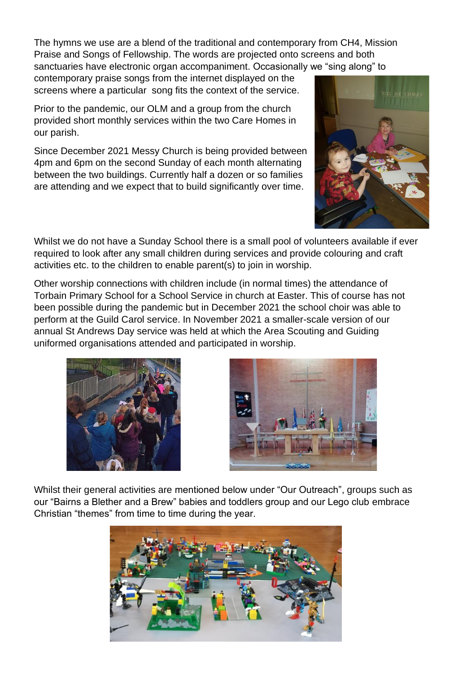The hymns we use are a blend of the traditional and contemporary from CH4, Mission Praise and Songs of Fellowship. The words are projected onto screens and both sanctuaries have electronic organ accompaniment. Occasionally we "sing along" to

contemporary praise songs from the internet displayed on the screens where a particular song fits the context of the service.

Prior to the pandemic, our OLM and a group from the church provided short monthly services within the two Care Homes in our parish.

Since December 2021 Messy Church is being provided between 4pm and 6pm on the second Sunday of each month alternating between the two buildings. Currently half a dozen or so families are attending and we expect that to build significantly over time.



Whilst we do not have a Sunday School there is a small pool of volunteers available if ever required to look after any small children during services and provide colouring and craft activities etc. to the children to enable parent(s) to join in worship.

Other worship connections with children include (in normal times) the attendance of Torbain Primary School for a School Service in church at Easter. This of course has not been possible during the pandemic but in December 2021 the school choir was able to perform at the Guild Carol service. In November 2021 a smaller-scale version of our annual St Andrews Day service was held at which the Area Scouting and Guiding uniformed organisations attended and participated in worship.





Whilst their general activities are mentioned below under "Our Outreach", groups such as our "Bairns a Blether and a Brew" babies and toddlers group and our Lego club embrace Christian "themes" from time to time during the year.

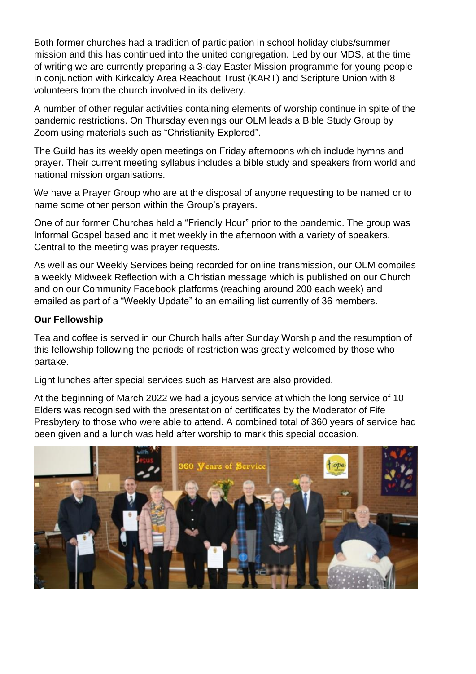Both former churches had a tradition of participation in school holiday clubs/summer mission and this has continued into the united congregation. Led by our MDS, at the time of writing we are currently preparing a 3-day Easter Mission programme for young people in conjunction with Kirkcaldy Area Reachout Trust (KART) and Scripture Union with 8 volunteers from the church involved in its delivery.

A number of other regular activities containing elements of worship continue in spite of the pandemic restrictions. On Thursday evenings our OLM leads a Bible Study Group by Zoom using materials such as "Christianity Explored".

The Guild has its weekly open meetings on Friday afternoons which include hymns and prayer. Their current meeting syllabus includes a bible study and speakers from world and national mission organisations.

We have a Prayer Group who are at the disposal of anyone requesting to be named or to name some other person within the Group's prayers.

One of our former Churches held a "Friendly Hour" prior to the pandemic. The group was Informal Gospel based and it met weekly in the afternoon with a variety of speakers. Central to the meeting was prayer requests.

As well as our Weekly Services being recorded for online transmission, our OLM compiles a weekly Midweek Reflection with a Christian message which is published on our Church and on our Community Facebook platforms (reaching around 200 each week) and emailed as part of a "Weekly Update" to an emailing list currently of 36 members.

#### **Our Fellowship**

Tea and coffee is served in our Church halls after Sunday Worship and the resumption of this fellowship following the periods of restriction was greatly welcomed by those who partake.

Light lunches after special services such as Harvest are also provided.

At the beginning of March 2022 we had a joyous service at which the long service of 10 Elders was recognised with the presentation of certificates by the Moderator of Fife Presbytery to those who were able to attend. A combined total of 360 years of service had been given and a lunch was held after worship to mark this special occasion.

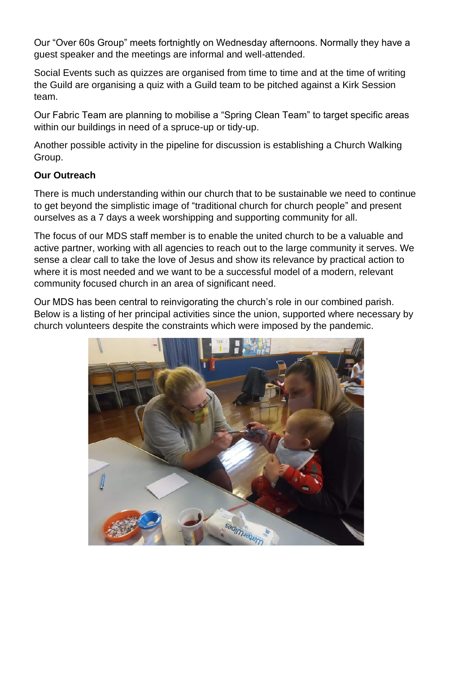Our "Over 60s Group" meets fortnightly on Wednesday afternoons. Normally they have a guest speaker and the meetings are informal and well-attended.

Social Events such as quizzes are organised from time to time and at the time of writing the Guild are organising a quiz with a Guild team to be pitched against a Kirk Session team.

Our Fabric Team are planning to mobilise a "Spring Clean Team" to target specific areas within our buildings in need of a spruce-up or tidy-up.

Another possible activity in the pipeline for discussion is establishing a Church Walking Group.

## **Our Outreach**

There is much understanding within our church that to be sustainable we need to continue to get beyond the simplistic image of "traditional church for church people" and present ourselves as a 7 days a week worshipping and supporting community for all.

The focus of our MDS staff member is to enable the united church to be a valuable and active partner, working with all agencies to reach out to the large community it serves. We sense a clear call to take the love of Jesus and show its relevance by practical action to where it is most needed and we want to be a successful model of a modern, relevant community focused church in an area of significant need.

Our MDS has been central to reinvigorating the church's role in our combined parish. Below is a listing of her principal activities since the union, supported where necessary by church volunteers despite the constraints which were imposed by the pandemic.

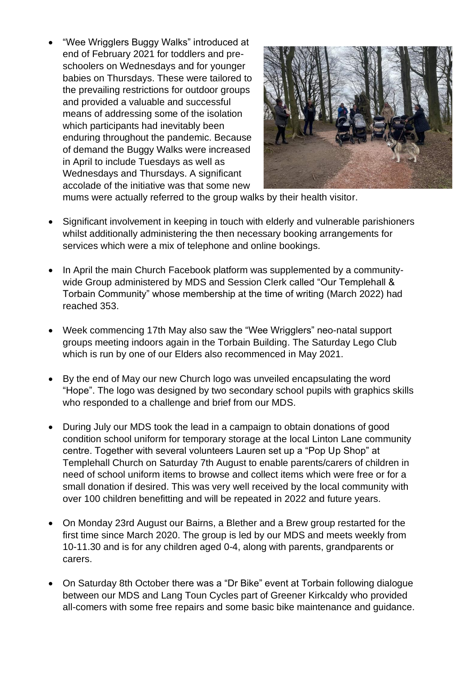• "Wee Wrigglers Buggy Walks" introduced at end of February 2021 for toddlers and preschoolers on Wednesdays and for younger babies on Thursdays. These were tailored to the prevailing restrictions for outdoor groups and provided a valuable and successful means of addressing some of the isolation which participants had inevitably been enduring throughout the pandemic. Because of demand the Buggy Walks were increased in April to include Tuesdays as well as Wednesdays and Thursdays. A significant accolade of the initiative was that some new



mums were actually referred to the group walks by their health visitor.

- Significant involvement in keeping in touch with elderly and vulnerable parishioners whilst additionally administering the then necessary booking arrangements for services which were a mix of telephone and online bookings.
- In April the main Church Facebook platform was supplemented by a communitywide Group administered by MDS and Session Clerk called "Our Templehall & Torbain Community" whose membership at the time of writing (March 2022) had reached 353.
- Week commencing 17th May also saw the "Wee Wrigglers" neo-natal support groups meeting indoors again in the Torbain Building. The Saturday Lego Club which is run by one of our Elders also recommenced in May 2021.
- By the end of May our new Church logo was unveiled encapsulating the word "Hope". The logo was designed by two secondary school pupils with graphics skills who responded to a challenge and brief from our MDS.
- During July our MDS took the lead in a campaign to obtain donations of good condition school uniform for temporary storage at the local Linton Lane community centre. Together with several volunteers Lauren set up a "Pop Up Shop" at Templehall Church on Saturday 7th August to enable parents/carers of children in need of school uniform items to browse and collect items which were free or for a small donation if desired. This was very well received by the local community with over 100 children benefitting and will be repeated in 2022 and future years.
- On Monday 23rd August our Bairns, a Blether and a Brew group restarted for the first time since March 2020. The group is led by our MDS and meets weekly from 10-11.30 and is for any children aged 0-4, along with parents, grandparents or carers.
- On Saturday 8th October there was a "Dr Bike" event at Torbain following dialogue between our MDS and Lang Toun Cycles part of Greener Kirkcaldy who provided all-comers with some free repairs and some basic bike maintenance and guidance.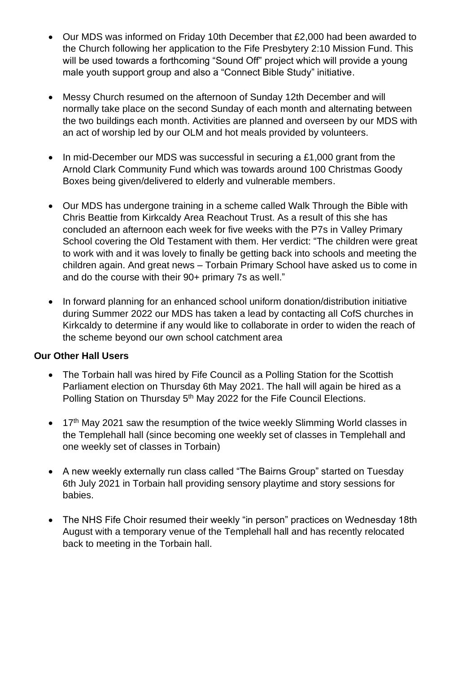- Our MDS was informed on Friday 10th December that £2,000 had been awarded to the Church following her application to the Fife Presbytery 2:10 Mission Fund. This will be used towards a forthcoming "Sound Off" project which will provide a young male youth support group and also a "Connect Bible Study" initiative.
- Messy Church resumed on the afternoon of Sunday 12th December and will normally take place on the second Sunday of each month and alternating between the two buildings each month. Activities are planned and overseen by our MDS with an act of worship led by our OLM and hot meals provided by volunteers.
- In mid-December our MDS was successful in securing a £1,000 grant from the Arnold Clark Community Fund which was towards around 100 Christmas Goody Boxes being given/delivered to elderly and vulnerable members.
- Our MDS has undergone training in a scheme called Walk Through the Bible with Chris Beattie from Kirkcaldy Area Reachout Trust. As a result of this she has concluded an afternoon each week for five weeks with the P7s in Valley Primary School covering the Old Testament with them. Her verdict: "The children were great to work with and it was lovely to finally be getting back into schools and meeting the children again. And great news – Torbain Primary School have asked us to come in and do the course with their 90+ primary 7s as well."
- In forward planning for an enhanced school uniform donation/distribution initiative during Summer 2022 our MDS has taken a lead by contacting all CofS churches in Kirkcaldy to determine if any would like to collaborate in order to widen the reach of the scheme beyond our own school catchment area

#### **Our Other Hall Users**

- The Torbain hall was hired by Fife Council as a Polling Station for the Scottish Parliament election on Thursday 6th May 2021. The hall will again be hired as a Polling Station on Thursday 5<sup>th</sup> May 2022 for the Fife Council Elections.
- 17<sup>th</sup> May 2021 saw the resumption of the twice weekly Slimming World classes in the Templehall hall (since becoming one weekly set of classes in Templehall and one weekly set of classes in Torbain)
- A new weekly externally run class called "The Bairns Group" started on Tuesday 6th July 2021 in Torbain hall providing sensory playtime and story sessions for babies.
- The NHS Fife Choir resumed their weekly "in person" practices on Wednesday 18th August with a temporary venue of the Templehall hall and has recently relocated back to meeting in the Torbain hall.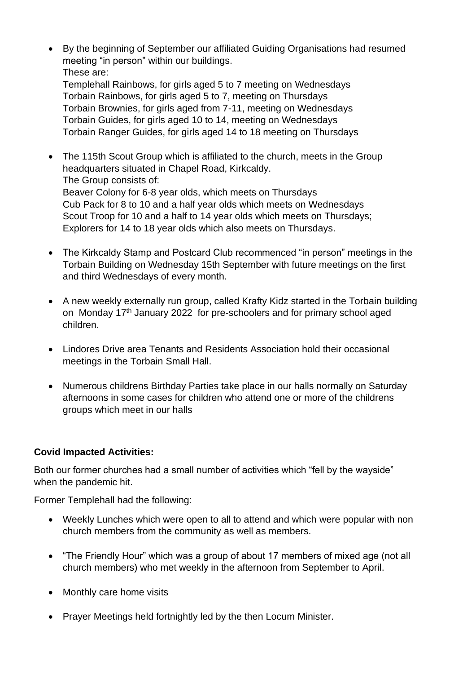• By the beginning of September our affiliated Guiding Organisations had resumed meeting "in person" within our buildings. These are:

Templehall Rainbows, for girls aged 5 to 7 meeting on Wednesdays Torbain Rainbows, for girls aged 5 to 7, meeting on Thursdays Torbain Brownies, for girls aged from 7-11, meeting on Wednesdays Torbain Guides, for girls aged 10 to 14, meeting on Wednesdays Torbain Ranger Guides, for girls aged 14 to 18 meeting on Thursdays

- The 115th Scout Group which is affiliated to the church, meets in the Group headquarters situated in Chapel Road, Kirkcaldy. The Group consists of: Beaver Colony for 6-8 year olds, which meets on Thursdays Cub Pack for 8 to 10 and a half year olds which meets on Wednesdays Scout Troop for 10 and a half to 14 year olds which meets on Thursdays; Explorers for 14 to 18 year olds which also meets on Thursdays.
- The Kirkcaldy Stamp and Postcard Club recommenced "in person" meetings in the Torbain Building on Wednesday 15th September with future meetings on the first and third Wednesdays of every month.
- A new weekly externally run group, called Krafty Kidz started in the Torbain building on Monday 17th January 2022 for pre-schoolers and for primary school aged children.
- Lindores Drive area Tenants and Residents Association hold their occasional meetings in the Torbain Small Hall.
- Numerous childrens Birthday Parties take place in our halls normally on Saturday afternoons in some cases for children who attend one or more of the childrens groups which meet in our halls

#### **Covid Impacted Activities:**

Both our former churches had a small number of activities which "fell by the wayside" when the pandemic hit.

Former Templehall had the following:

- Weekly Lunches which were open to all to attend and which were popular with non church members from the community as well as members.
- "The Friendly Hour" which was a group of about 17 members of mixed age (not all church members) who met weekly in the afternoon from September to April.
- Monthly care home visits
- Prayer Meetings held fortnightly led by the then Locum Minister.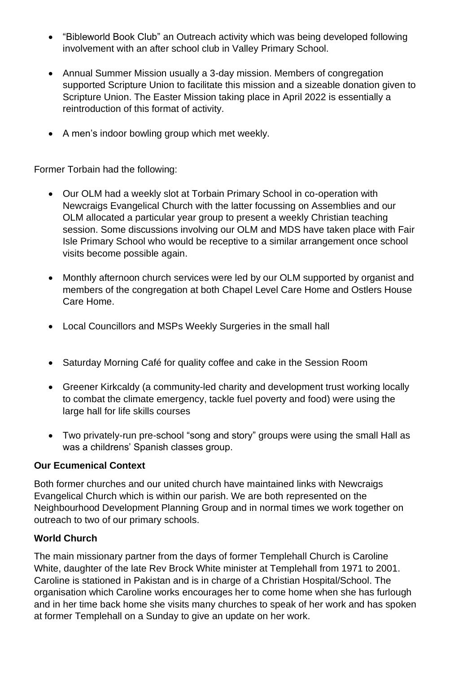- "Bibleworld Book Club" an Outreach activity which was being developed following involvement with an after school club in Valley Primary School.
- Annual Summer Mission usually a 3-day mission. Members of congregation supported Scripture Union to facilitate this mission and a sizeable donation given to Scripture Union. The Easter Mission taking place in April 2022 is essentially a reintroduction of this format of activity.
- A men's indoor bowling group which met weekly.

Former Torbain had the following:

- Our OLM had a weekly slot at Torbain Primary School in co-operation with Newcraigs Evangelical Church with the latter focussing on Assemblies and our OLM allocated a particular year group to present a weekly Christian teaching session. Some discussions involving our OLM and MDS have taken place with Fair Isle Primary School who would be receptive to a similar arrangement once school visits become possible again.
- Monthly afternoon church services were led by our OLM supported by organist and members of the congregation at both Chapel Level Care Home and Ostlers House Care Home.
- Local Councillors and MSPs Weekly Surgeries in the small hall
- Saturday Morning Café for quality coffee and cake in the Session Room
- Greener Kirkcaldy (a community-led charity and development trust working locally to combat the climate emergency, tackle fuel poverty and food) were using the large hall for life skills courses
- Two privately-run pre-school "song and story" groups were using the small Hall as was a childrens' Spanish classes group.

#### **Our Ecumenical Context**

Both former churches and our united church have maintained links with Newcraigs Evangelical Church which is within our parish. We are both represented on the Neighbourhood Development Planning Group and in normal times we work together on outreach to two of our primary schools.

#### **World Church**

The main missionary partner from the days of former Templehall Church is Caroline White, daughter of the late Rev Brock White minister at Templehall from 1971 to 2001. Caroline is stationed in Pakistan and is in charge of a Christian Hospital/School. The organisation which Caroline works encourages her to come home when she has furlough and in her time back home she visits many churches to speak of her work and has spoken at former Templehall on a Sunday to give an update on her work.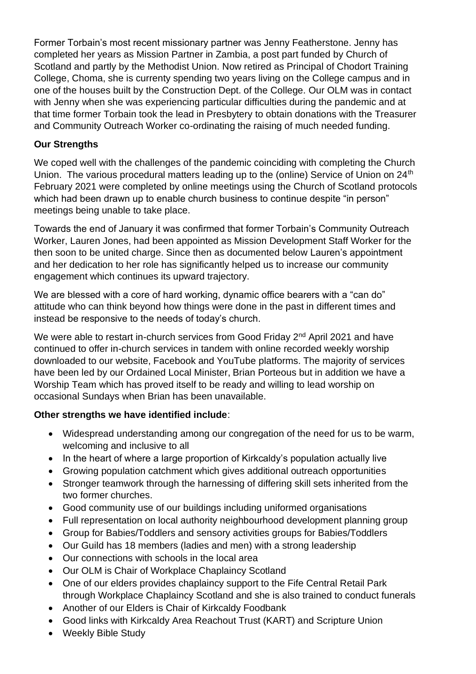Former Torbain's most recent missionary partner was Jenny Featherstone. Jenny has completed her years as Mission Partner in Zambia, a post part funded by Church of Scotland and partly by the Methodist Union. Now retired as Principal of Chodort Training College, Choma, she is currenty spending two years living on the College campus and in one of the houses built by the Construction Dept. of the College. Our OLM was in contact with Jenny when she was experiencing particular difficulties during the pandemic and at that time former Torbain took the lead in Presbytery to obtain donations with the Treasurer and Community Outreach Worker co-ordinating the raising of much needed funding.

#### **Our Strengths**

We coped well with the challenges of the pandemic coinciding with completing the Church Union. The various procedural matters leading up to the (online) Service of Union on 24<sup>th</sup> February 2021 were completed by online meetings using the Church of Scotland protocols which had been drawn up to enable church business to continue despite "in person" meetings being unable to take place.

Towards the end of January it was confirmed that former Torbain's Community Outreach Worker, Lauren Jones, had been appointed as Mission Development Staff Worker for the then soon to be united charge. Since then as documented below Lauren's appointment and her dedication to her role has significantly helped us to increase our community engagement which continues its upward trajectory.

We are blessed with a core of hard working, dynamic office bearers with a "can do" attitude who can think beyond how things were done in the past in different times and instead be responsive to the needs of today's church.

We were able to restart in-church services from Good Friday 2<sup>nd</sup> April 2021 and have continued to offer in-church services in tandem with online recorded weekly worship downloaded to our website, Facebook and YouTube platforms. The majority of services have been led by our Ordained Local Minister, Brian Porteous but in addition we have a Worship Team which has proved itself to be ready and willing to lead worship on occasional Sundays when Brian has been unavailable.

## **Other strengths we have identified include**:

- Widespread understanding among our congregation of the need for us to be warm, welcoming and inclusive to all
- In the heart of where a large proportion of Kirkcaldy's population actually live
- Growing population catchment which gives additional outreach opportunities
- Stronger teamwork through the harnessing of differing skill sets inherited from the two former churches.
- Good community use of our buildings including uniformed organisations
- Full representation on local authority neighbourhood development planning group
- Group for Babies/Toddlers and sensory activities groups for Babies/Toddlers
- Our Guild has 18 members (ladies and men) with a strong leadership
- Our connections with schools in the local area
- Our OLM is Chair of Workplace Chaplaincy Scotland
- One of our elders provides chaplaincy support to the Fife Central Retail Park through Workplace Chaplaincy Scotland and she is also trained to conduct funerals
- Another of our Elders is Chair of Kirkcaldy Foodbank
- Good links with Kirkcaldy Area Reachout Trust (KART) and Scripture Union
- Weekly Bible Study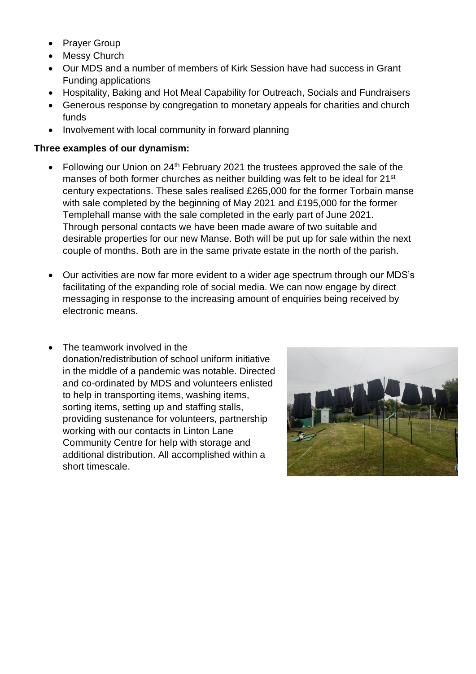- Prayer Group
- Messy Church
- Our MDS and a number of members of Kirk Session have had success in Grant Funding applications
- Hospitality, Baking and Hot Meal Capability for Outreach, Socials and Fundraisers
- Generous response by congregation to monetary appeals for charities and church funds
- Involvement with local community in forward planning

#### **Three examples of our dynamism:**

- Following our Union on  $24<sup>th</sup>$  February 2021 the trustees approved the sale of the manses of both former churches as neither building was felt to be ideal for 21<sup>st</sup> century expectations. These sales realised £265,000 for the former Torbain manse with sale completed by the beginning of May 2021 and £195,000 for the former Templehall manse with the sale completed in the early part of June 2021. Through personal contacts we have been made aware of two suitable and desirable properties for our new Manse. Both will be put up for sale within the next couple of months. Both are in the same private estate in the north of the parish.
- Our activities are now far more evident to a wider age spectrum through our MDS's facilitating of the expanding role of social media. We can now engage by direct messaging in response to the increasing amount of enquiries being received by electronic means.
- The teamwork involved in the donation/redistribution of school uniform initiative in the middle of a pandemic was notable. Directed and co-ordinated by MDS and volunteers enlisted to help in transporting items, washing items, sorting items, setting up and staffing stalls, providing sustenance for volunteers, partnership working with our contacts in Linton Lane Community Centre for help with storage and additional distribution. All accomplished within a short timescale.